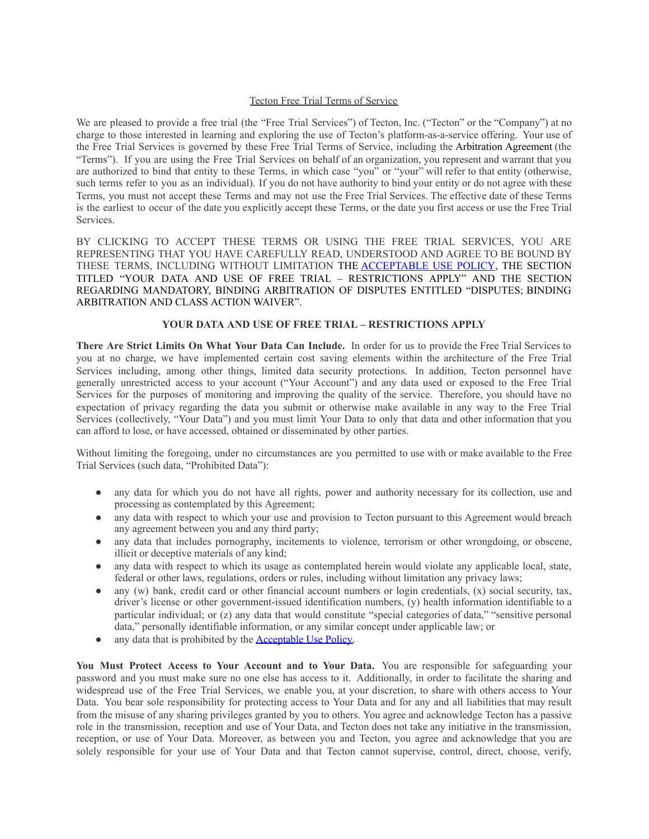#### Tecton Free Trial Terms of Service

We are pleased to provide a free trial (the "Free Trial Services") of Tecton, Inc. ("Tecton" or the "Company") at no charge to those interested in learning and exploring the use of Tecton's platform-as-a-service offering. Your use of the Free Trial Services is governed by these Free Trial Terms of Service, including the Arbitration Agreement (the "Terms"). If you are using the Free Trial Services on behalf of an organization, you represent and warrant that you are authorized to bind that entity to these Terms, in which case "you" or "your" will refer to that entity (otherwise, such terms refer to you as an individual). If you do not have authority to bind your entity or do not agree with these Terms, you must not accept these Terms and may not use the Free Trial Services. The effective date of these Terms is the earliest to occur of the date you explicitly accept these Terms, or the date you first access or use the Free Trial Services.

BY CLICKING TO ACCEPT THESE TERMS OR USING THE FREE TRIAL SERVICES, YOU ARE REPRESENTING THAT YOU HAVE CAREFULLY READ, UNDERSTOOD AND AGREE TO BE BOUND BY THESE TERMS, INCLUDING WITHOUT LIMITATION THE [ACCEPTABLE](http://www.tecton.ai/tecton_aup) USE POLICY, THE SECTION TITLED "YOUR DATA AND USE OF FREE TRIAL – RESTRICTIONS APPLY" AND THE SECTION REGARDING MANDATORY, BINDING ARBITRATION OF DISPUTES ENTITLED "DISPUTES; BINDING ARBITRATION AND CLASS ACTION WAIVER".

### **YOUR DATA AND USE OF FREE TRIAL – RESTRICTIONS APPLY**

**There Are Strict Limits On What Your Data Can Include.** In order for us to provide the Free Trial Services to you at no charge, we have implemented certain cost saving elements within the architecture of the Free Trial Services including, among other things, limited data security protections. In addition, Tecton personnel have generally unrestricted access to your account ("Your Account") and any data used or exposed to the Free Trial Services for the purposes of monitoring and improving the quality of the service. Therefore, you should have no expectation of privacy regarding the data you submit or otherwise make available in any way to the Free Trial Services (collectively, "Your Data") and you must limit Your Data to only that data and other information that you can afford to lose, or have accessed, obtained or disseminated by other parties.

Without limiting the foregoing, under no circumstances are you permitted to use with or make available to the Free Trial Services (such data, "Prohibited Data"):

- any data for which you do not have all rights, power and authority necessary for its collection, use and processing as contemplated by this Agreement;
- any data with respect to which your use and provision to Tecton pursuant to this Agreement would breach any agreement between you and any third party;
- any data that includes pornography, incitements to violence, terrorism or other wrongdoing, or obscene, illicit or deceptive materials of any kind;
- any data with respect to which its usage as contemplated herein would violate any applicable local, state, federal or other laws, regulations, orders or rules, including without limitation any privacy laws;
- any (w) bank, credit card or other financial account numbers or login credentials,  $(x)$  social security, tax, driver's license or other government-issued identification numbers, (y) health information identifiable to a particular individual; or (z) any data that would constitute "special categories of data," "sensitive personal data," personally identifiable information, or any similar concept under applicable law; or
- any data that is prohibited by the **[Acceptable](http://www.tecton.ai/tecton_aup) Use Policy**.

**You Must Protect Access to Your Account and to Your Data.** You are responsible for safeguarding your password and you must make sure no one else has access to it. Additionally, in order to facilitate the sharing and widespread use of the Free Trial Services, we enable you, at your discretion, to share with others access to Your Data. You bear sole responsibility for protecting access to Your Data and for any and all liabilities that may result from the misuse of any sharing privileges granted by you to others. You agree and acknowledge Tecton has a passive role in the transmission, reception and use of Your Data, and Tecton does not take any initiative in the transmission, reception, or use of Your Data. Moreover, as between you and Tecton, you agree and acknowledge that you are solely responsible for your use of Your Data and that Tecton cannot supervise, control, direct, choose, verify,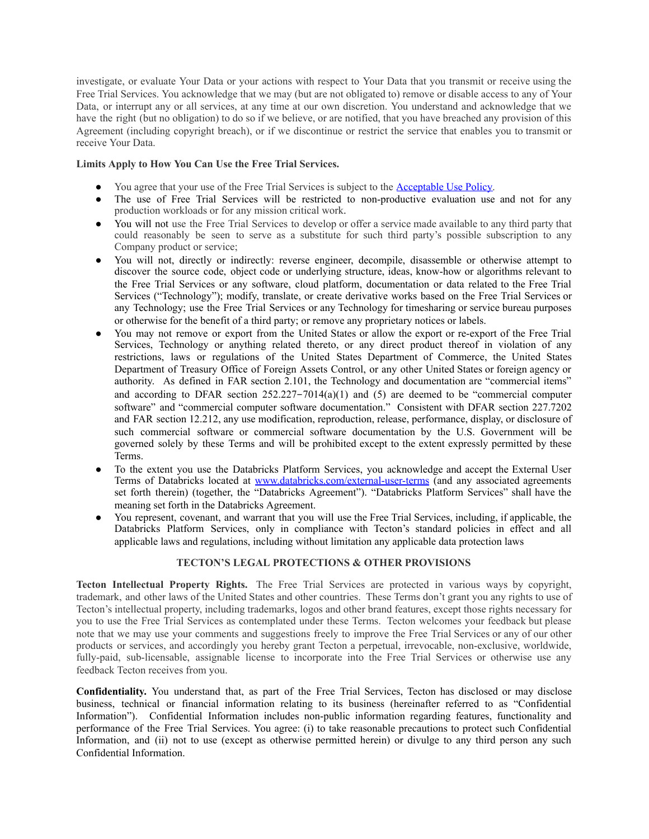investigate, or evaluate Your Data or your actions with respect to Your Data that you transmit or receive using the Free Trial Services. You acknowledge that we may (but are not obligated to) remove or disable access to any of Your Data, or interrupt any or all services, at any time at our own discretion. You understand and acknowledge that we have the right (but no obligation) to do so if we believe, or are notified, that you have breached any provision of this Agreement (including copyright breach), or if we discontinue or restrict the service that enables you to transmit or receive Your Data.

## **Limits Apply to How You Can Use the Free Trial Services.**

- You agree that your use of the Free Trial Services is subject to the **[Acceptable](http://www.tecton.ai/tecton_aup) Use Policy**.
- The use of Free Trial Services will be restricted to non-productive evaluation use and not for any production workloads or for any mission critical work.
- You will not use the Free Trial Services to develop or offer a service made available to any third party that could reasonably be seen to serve as a substitute for such third party's possible subscription to any Company product or service;
- You will not, directly or indirectly: reverse engineer, decompile, disassemble or otherwise attempt to discover the source code, object code or underlying structure, ideas, know-how or algorithms relevant to the Free Trial Services or any software, cloud platform, documentation or data related to the Free Trial Services ("Technology"); modify, translate, or create derivative works based on the Free Trial Services or any Technology; use the Free Trial Services or any Technology for timesharing or service bureau purposes or otherwise for the benefit of a third party; or remove any proprietary notices or labels.
- You may not remove or export from the United States or allow the export or re-export of the Free Trial Services, Technology or anything related thereto, or any direct product thereof in violation of any restrictions, laws or regulations of the United States Department of Commerce, the United States Department of Treasury Office of Foreign Assets Control, or any other United States or foreign agency or authority. As defined in FAR section 2.101, the Technology and documentation are "commercial items" and according to DFAR section 252.227-7014(a)(1) and (5) are deemed to be "commercial computer software" and "commercial computer software documentation." Consistent with DFAR section 227.7202 and FAR section 12.212, any use modification, reproduction, release, performance, display, or disclosure of such commercial software or commercial software documentation by the U.S. Government will be governed solely by these Terms and will be prohibited except to the extent expressly permitted by these Terms.
- To the extent you use the Databricks Platform Services, you acknowledge and accept the External User Terms of Databricks located at [www.databricks.com/external-user-terms](http://www.databricks.com/external-user-terms) (and any associated agreements set forth therein) (together, the "Databricks Agreement"). "Databricks Platform Services" shall have the meaning set forth in the Databricks Agreement.
- You represent, covenant, and warrant that you will use the Free Trial Services, including, if applicable, the Databricks Platform Services, only in compliance with Tecton's standard policies in effect and all applicable laws and regulations, including without limitation any applicable data protection laws

# **TECTON'S LEGAL PROTECTIONS & OTHER PROVISIONS**

**Tecton Intellectual Property Rights.** The Free Trial Services are protected in various ways by copyright, trademark, and other laws of the United States and other countries. These Terms don't grant you any rights to use of Tecton's intellectual property, including trademarks, logos and other brand features, except those rights necessary for you to use the Free Trial Services as contemplated under these Terms. Tecton welcomes your feedback but please note that we may use your comments and suggestions freely to improve the Free Trial Services or any of our other products or services, and accordingly you hereby grant Tecton a perpetual, irrevocable, non-exclusive, worldwide, fully-paid, sub-licensable, assignable license to incorporate into the Free Trial Services or otherwise use any feedback Tecton receives from you.

**Confidentiality.** You understand that, as part of the Free Trial Services, Tecton has disclosed or may disclose business, technical or financial information relating to its business (hereinafter referred to as "Confidential Information"). Confidential Information includes non-public information regarding features, functionality and performance of the Free Trial Services. You agree: (i) to take reasonable precautions to protect such Confidential Information, and (ii) not to use (except as otherwise permitted herein) or divulge to any third person any such Confidential Information.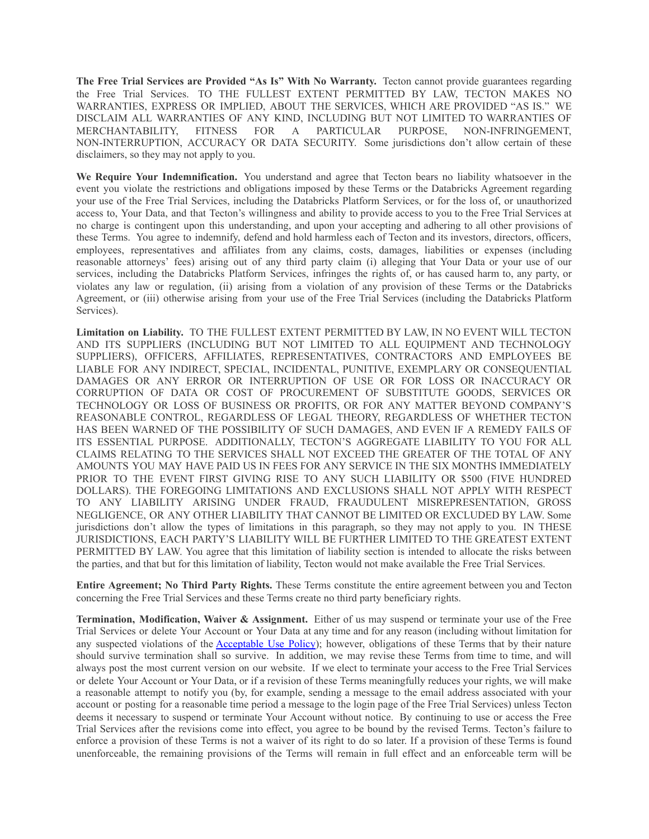**The Free Trial Services are Provided "As Is" With No Warranty.** Tecton cannot provide guarantees regarding the Free Trial Services. TO THE FULLEST EXTENT PERMITTED BY LAW, TECTON MAKES NO WARRANTIES, EXPRESS OR IMPLIED, ABOUT THE SERVICES, WHICH ARE PROVIDED "AS IS." WE DISCLAIM ALL WARRANTIES OF ANY KIND, INCLUDING BUT NOT LIMITED TO WARRANTIES OF MERCHANTABILITY, FITNESS FOR A PARTICULAR PURPOSE, NON-INFRINGEMENT, NON-INTERRUPTION, ACCURACY OR DATA SECURITY. Some jurisdictions don't allow certain of these disclaimers, so they may not apply to you.

**We Require Your Indemnification.** You understand and agree that Tecton bears no liability whatsoever in the event you violate the restrictions and obligations imposed by these Terms or the Databricks Agreement regarding your use of the Free Trial Services, including the Databricks Platform Services, or for the loss of, or unauthorized access to, Your Data, and that Tecton's willingness and ability to provide access to you to the Free Trial Services at no charge is contingent upon this understanding, and upon your accepting and adhering to all other provisions of these Terms. You agree to indemnify, defend and hold harmless each of Tecton and its investors, directors, officers, employees, representatives and affiliates from any claims, costs, damages, liabilities or expenses (including reasonable attorneys' fees) arising out of any third party claim (i) alleging that Your Data or your use of our services, including the Databricks Platform Services, infringes the rights of, or has caused harm to, any party, or violates any law or regulation, (ii) arising from a violation of any provision of these Terms or the Databricks Agreement, or (iii) otherwise arising from your use of the Free Trial Services (including the Databricks Platform Services).

**Limitation on Liability.** TO THE FULLEST EXTENT PERMITTED BY LAW, IN NO EVENT WILL TECTON AND ITS SUPPLIERS (INCLUDING BUT NOT LIMITED TO ALL EQUIPMENT AND TECHNOLOGY SUPPLIERS), OFFICERS, AFFILIATES, REPRESENTATIVES, CONTRACTORS AND EMPLOYEES BE LIABLE FOR ANY INDIRECT, SPECIAL, INCIDENTAL, PUNITIVE, EXEMPLARY OR CONSEQUENTIAL DAMAGES OR ANY ERROR OR INTERRUPTION OF USE OR FOR LOSS OR INACCURACY OR CORRUPTION OF DATA OR COST OF PROCUREMENT OF SUBSTITUTE GOODS, SERVICES OR TECHNOLOGY OR LOSS OF BUSINESS OR PROFITS, OR FOR ANY MATTER BEYOND COMPANY'S REASONABLE CONTROL, REGARDLESS OF LEGAL THEORY, REGARDLESS OF WHETHER TECTON HAS BEEN WARNED OF THE POSSIBILITY OF SUCH DAMAGES, AND EVEN IF A REMEDY FAILS OF ITS ESSENTIAL PURPOSE. ADDITIONALLY, TECTON'S AGGREGATE LIABILITY TO YOU FOR ALL CLAIMS RELATING TO THE SERVICES SHALL NOT EXCEED THE GREATER OF THE TOTAL OF ANY AMOUNTS YOU MAY HAVE PAID US IN FEES FOR ANY SERVICE IN THE SIX MONTHS IMMEDIATELY PRIOR TO THE EVENT FIRST GIVING RISE TO ANY SUCH LIABILITY OR \$500 (FIVE HUNDRED DOLLARS). THE FOREGOING LIMITATIONS AND EXCLUSIONS SHALL NOT APPLY WITH RESPECT TO ANY LIABILITY ARISING UNDER FRAUD, FRAUDULENT MISREPRESENTATION, GROSS NEGLIGENCE, OR ANY OTHER LIABILITY THAT CANNOT BE LIMITED OR EXCLUDED BY LAW. Some jurisdictions don't allow the types of limitations in this paragraph, so they may not apply to you. IN THESE JURISDICTIONS, EACH PARTY'S LIABILITY WILL BE FURTHER LIMITED TO THE GREATEST EXTENT PERMITTED BY LAW. You agree that this limitation of liability section is intended to allocate the risks between the parties, and that but for this limitation of liability, Tecton would not make available the Free Trial Services.

**Entire Agreement; No Third Party Rights.** These Terms constitute the entire agreement between you and Tecton concerning the Free Trial Services and these Terms create no third party beneficiary rights.

**Termination, Modification, Waiver & Assignment.** Either of us may suspend or terminate your use of the Free Trial Services or delete Your Account or Your Data at any time and for any reason (including without limitation for any suspected violations of the [Acceptable](http://www.tecton.ai/tecton_aup) Use Policy); however, obligations of these Terms that by their nature should survive termination shall so survive. In addition, we may revise these Terms from time to time, and will always post the most current version on our website. If we elect to terminate your access to the Free Trial Services or delete Your Account or Your Data, or if a revision of these Terms meaningfully reduces your rights, we will make a reasonable attempt to notify you (by, for example, sending a message to the email address associated with your account or posting for a reasonable time period a message to the login page of the Free Trial Services) unless Tecton deems it necessary to suspend or terminate Your Account without notice. By continuing to use or access the Free Trial Services after the revisions come into effect, you agree to be bound by the revised Terms. Tecton's failure to enforce a provision of these Terms is not a waiver of its right to do so later. If a provision of these Terms is found unenforceable, the remaining provisions of the Terms will remain in full effect and an enforceable term will be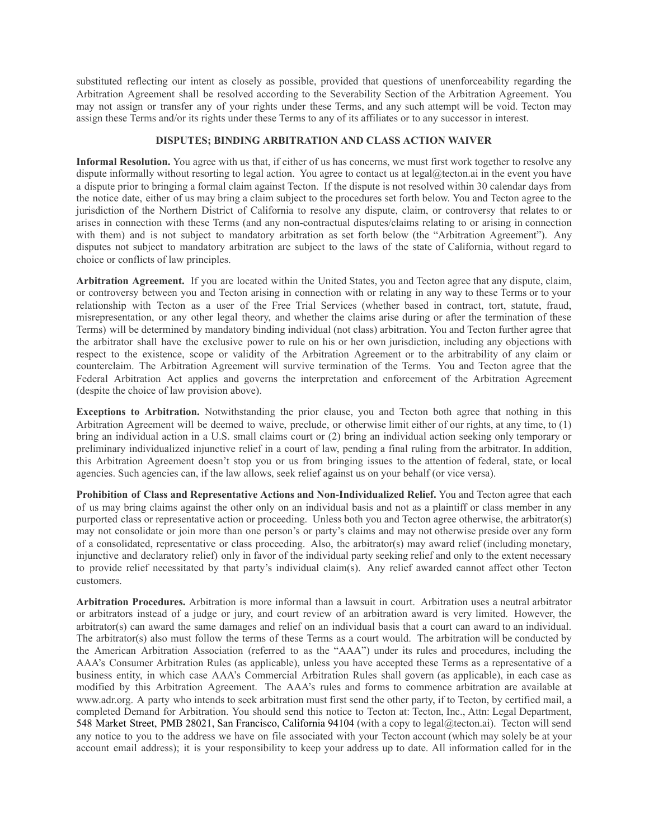substituted reflecting our intent as closely as possible, provided that questions of unenforceability regarding the Arbitration Agreement shall be resolved according to the Severability Section of the Arbitration Agreement. You may not assign or transfer any of your rights under these Terms, and any such attempt will be void. Tecton may assign these Terms and/or its rights under these Terms to any of its affiliates or to any successor in interest.

### **DISPUTES; BINDING ARBITRATION AND CLASS ACTION WAIVER**

**Informal Resolution.** You agree with us that, if either of us has concerns, we must first work together to resolve any dispute informally without resorting to legal action. You agree to contact us at legal@tecton.ai in the event you have a dispute prior to bringing a formal claim against Tecton. If the dispute is not resolved within 30 calendar days from the notice date, either of us may bring a claim subject to the procedures set forth below. You and Tecton agree to the jurisdiction of the Northern District of California to resolve any dispute, claim, or controversy that relates to or arises in connection with these Terms (and any non-contractual disputes/claims relating to or arising in connection with them) and is not subject to mandatory arbitration as set forth below (the "Arbitration Agreement"). Any disputes not subject to mandatory arbitration are subject to the laws of the state of California, without regard to choice or conflicts of law principles.

**Arbitration Agreement.** If you are located within the United States, you and Tecton agree that any dispute, claim, or controversy between you and Tecton arising in connection with or relating in any way to these Terms or to your relationship with Tecton as a user of the Free Trial Services (whether based in contract, tort, statute, fraud, misrepresentation, or any other legal theory, and whether the claims arise during or after the termination of these Terms) will be determined by mandatory binding individual (not class) arbitration. You and Tecton further agree that the arbitrator shall have the exclusive power to rule on his or her own jurisdiction, including any objections with respect to the existence, scope or validity of the Arbitration Agreement or to the arbitrability of any claim or counterclaim. The Arbitration Agreement will survive termination of the Terms. You and Tecton agree that the Federal Arbitration Act applies and governs the interpretation and enforcement of the Arbitration Agreement (despite the choice of law provision above).

**Exceptions to Arbitration.** Notwithstanding the prior clause, you and Tecton both agree that nothing in this Arbitration Agreement will be deemed to waive, preclude, or otherwise limit either of our rights, at any time, to (1) bring an individual action in a U.S. small claims court or (2) bring an individual action seeking only temporary or preliminary individualized injunctive relief in a court of law, pending a final ruling from the arbitrator. In addition, this Arbitration Agreement doesn't stop you or us from bringing issues to the attention of federal, state, or local agencies. Such agencies can, if the law allows, seek relief against us on your behalf (or vice versa).

**Prohibition of Class and Representative Actions and Non-Individualized Relief.** You and Tecton agree that each of us may bring claims against the other only on an individual basis and not as a plaintiff or class member in any purported class or representative action or proceeding. Unless both you and Tecton agree otherwise, the arbitrator(s) may not consolidate or join more than one person's or party's claims and may not otherwise preside over any form of a consolidated, representative or class proceeding. Also, the arbitrator(s) may award relief (including monetary, injunctive and declaratory relief) only in favor of the individual party seeking relief and only to the extent necessary to provide relief necessitated by that party's individual claim(s). Any relief awarded cannot affect other Tecton customers.

**Arbitration Procedures.** Arbitration is more informal than a lawsuit in court. Arbitration uses a neutral arbitrator or arbitrators instead of a judge or jury, and court review of an arbitration award is very limited. However, the arbitrator(s) can award the same damages and relief on an individual basis that a court can award to an individual. The arbitrator(s) also must follow the terms of these Terms as a court would. The arbitration will be conducted by the American Arbitration Association (referred to as the "AAA") under its rules and procedures, including the AAA's Consumer Arbitration Rules (as applicable), unless you have accepted these Terms as a representative of a business entity, in which case AAA's Commercial Arbitration Rules shall govern (as applicable), in each case as modified by this Arbitration Agreement. The AAA's rules and forms to commence arbitration are available at www.adr.org. A party who intends to seek arbitration must first send the other party, if to Tecton, by certified mail, a completed Demand for Arbitration. You should send this notice to Tecton at: Tecton, Inc., Attn: Legal Department, 548 Market Street, PMB 28021, San Francisco, California 94104 (with a copy to legal@tecton.ai). Tecton will send any notice to you to the address we have on file associated with your Tecton account (which may solely be at your account email address); it is your responsibility to keep your address up to date. All information called for in the